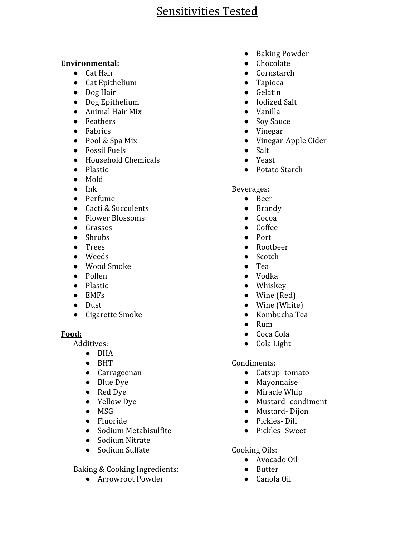### **Environmental:**

- Cat Hair
- Cat Epithelium
- Dog Hair
- Dog Epithelium
- Animal Hair Mix
- Feathers
- Fabrics
- Pool & Spa Mix
- Fossil Fuels
- Household Chemicals
- Plastic
- Mold
- Ink
- Perfume
- Cacti & Succulents
- Flower Blossoms
- Grasses
- Shrubs
- Trees
- Weeds
- Wood Smoke
- Pollen
- Plastic
- EMFs
- Dust
- Cigarette Smoke

## **Food:**

Additives:

- BHA
- BHT
- Carrageenan
- Blue Dye
- Red Dye
- Yellow Dye
- MSG
- Fluoride
- Sodium Metabisulfite
- Sodium Nitrate
- Sodium Sulfate

Baking & Cooking Ingredients:

● Arrowroot Powder

- Baking Powder
- Chocolate
- Cornstarch
- Tapioca
- Gelatin
- Iodized Salt
- Vanilla
- Soy Sauce
- Vinegar
- Vinegar-Apple Cider
- Salt
- Yeast
- Potato Starch

Beverages:

- Beer
- Brandy
- Cocoa
- Coffee
- Port
- Rootbeer
- Scotch
- Tea
- Vodka
- Whiskey
- Wine (Red)
- Wine (White)
- Kombucha Tea
- Rum
- Coca Cola
- Cola Light

## Condiments:

- Catsup- tomato
- Mayonnaise
- Miracle Whip
- Mustard- condiment
- Mustard- Dijon
- Pickles- Dill
- Pickles- Sweet

## Cooking Oils:

- Avocado Oil
- Butter
- Canola Oil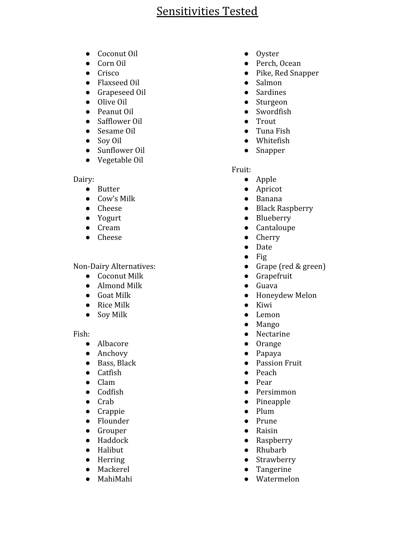- Coconut Oil
- Corn Oil
- Crisco
- Flaxseed Oil
- Grapeseed Oil
- Olive Oil
- Peanut Oil
- Safflower Oil
- Sesame Oil
- Soy Oil
- Sunflower Oil
- Vegetable Oil

#### Dairy:

- Butter
- Cow's Milk
- Cheese
- Yogurt
- Cream
- Cheese

#### Non-Dairy Alternatives:

- Coconut Milk
- Almond Milk
- Goat Milk
- Rice Milk
- Soy Milk

Fish:

- Albacore
- Anchovy
- Bass, Black
- Catfish
- Clam
- Codfish
- Crab
- Crappie
- Flounder
- Grouper
- Haddock
- Halibut
- Herring
- Mackerel
- MahiMahi
- Oyster
- Perch, Ocean
- Pike, Red Snapper
- Salmon
- Sardines
- Sturgeon
- Swordfish
- Trout
- Tuna Fish
- Whitefish
- Snapper

#### Fruit:

- Apple
- Apricot
- Banana
- Black Raspberry
- Blueberry
- Cantaloupe
- Cherry
- Date
- $\bullet$  Fig
- Grape (red & green)
- Grapefruit
- Guava
- Honeydew Melon
- Kiwi
- Lemon
- Mango
- Nectarine
- Orange
- Papaya
- Passion Fruit
- Peach
- Pear
- Persimmon
- Pineapple
- Plum
- Prune
- Raisin
- Raspberry
- Rhubarb
- Strawberry
- Tangerine
- Watermelon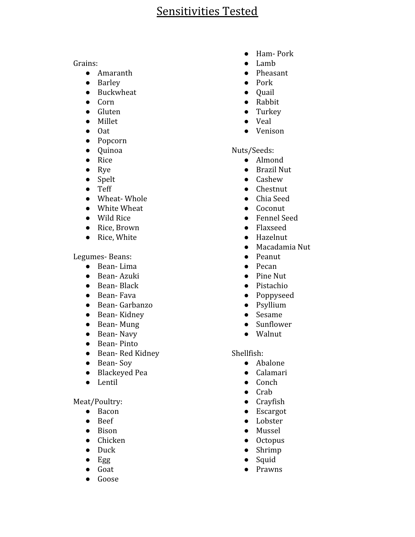Grains:

- Amaranth
- Barley
- Buckwheat
- Corn
- Gluten
- Millet
- Oat
- Popcorn
- Quinoa
- Rice
- Rye
- Spelt
- Teff
- Wheat- Whole
- White Wheat
- Wild Rice
- Rice, Brown
- Rice, White

Legumes- Beans:

- Bean- Lima
- Bean- Azuki
- Bean- Black
- Bean- Fava
- Bean- Garbanzo
- Bean- Kidney
- Bean- Mung
- Bean- Navy
- Bean- Pinto
- Bean- Red Kidney
- Bean- Soy
- Blackeyed Pea
- Lentil

Meat/Poultry:

- Bacon
- Beef
- Bison
- Chicken
- Duck
- Egg
- Goat
- Goose
- Ham- Pork
- Lamb
- Pheasant
- Pork
- Quail
- Rabbit
- Turkey
- Veal
- Venison

### Nuts/Seeds:

- Almond
- Brazil Nut
- Cashew
- Chestnut
- Chia Seed
- Coconut
- Fennel Seed
- Flaxseed
- Hazelnut
- Macadamia Nut
- Peanut
- Pecan
- Pine Nut
- Pistachio
- Poppyseed
- Psyllium
- Sesame
- Sunflower
- Walnut

### Shellfish:

- Abalone
- Calamari
- Conch
- Crab
- Crayfish
- Escargot
- Lobster
- Mussel
- Octopus
- Shrimp
- Squid
- Prawns